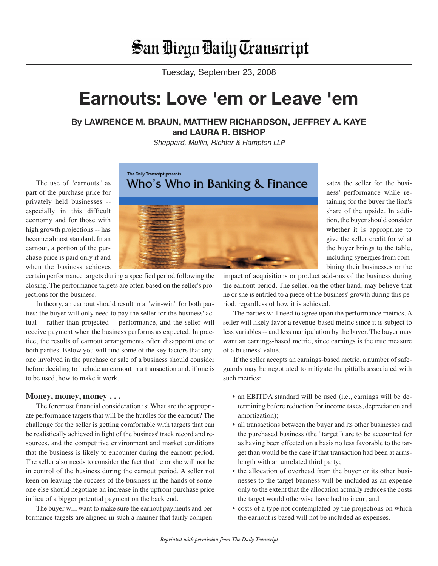# San Diego Daily Transcript

Tuesday, September 23, 2008

## **Earnouts: Love 'em or Leave 'em**

### **By LAWRENCE M. BRAUN, MATTHEW RICHARDSON, JEFFREY A. KAYE and LAURA R. BISHOP**

Sheppard, Mullin, Richter & Hampton LLP

Who's Who in Banking & Finance

The use of "earnouts" as part of the purchase price for privately held businesses - especially in this difficult economy and for those with high growth projections -- has become almost standard. In an earnout, a portion of the purchase price is paid only if and when the business achieves



certain performance targets during a specified period following the closing. The performance targets are often based on the seller's projections for the business.

The Daily Transcript presents

In theory, an earnout should result in a "win-win" for both parties: the buyer will only need to pay the seller for the business' actual -- rather than projected -- performance, and the seller will receive payment when the business performs as expected. In practice, the results of earnout arrangements often disappoint one or both parties. Below you will find some of the key factors that anyone involved in the purchase or sale of a business should consider before deciding to include an earnout in a transaction and, if one is to be used, how to make it work.

#### **Money, money, money . . .**

The foremost financial consideration is: What are the appropriate performance targets that will be the hurdles for the earnout? The challenge for the seller is getting comfortable with targets that can be realistically achieved in light of the business' track record and resources, and the competitive environment and market conditions that the business is likely to encounter during the earnout period. The seller also needs to consider the fact that he or she will not be in control of the business during the earnout period. A seller not keen on leaving the success of the business in the hands of someone else should negotiate an increase in the upfront purchase price in lieu of a bigger potential payment on the back end.

The buyer will want to make sure the earnout payments and performance targets are aligned in such a manner that fairly compen-

sates the seller for the business' performance while retaining for the buyer the lion's share of the upside. In addition, the buyer should consider whether it is appropriate to give the seller credit for what the buyer brings to the table, including synergies from combining their businesses or the

impact of acquisitions or product add-ons of the business during the earnout period. The seller, on the other hand, may believe that he or she is entitled to a piece of the business' growth during this period, regardless of how it is achieved.

The parties will need to agree upon the performance metrics. A seller will likely favor a revenue-based metric since it is subject to less variables -- and less manipulation by the buyer. The buyer may want an earnings-based metric, since earnings is the true measure of a business' value.

If the seller accepts an earnings-based metric, a number of safeguards may be negotiated to mitigate the pitfalls associated with such metrics:

- an EBITDA standard will be used (i.e., earnings will be determining before reduction for income taxes, depreciation and amortization);
- all transactions between the buyer and its other businesses and the purchased business (the "target") are to be accounted for as having been effected on a basis no less favorable to the target than would be the case if that transaction had been at armslength with an unrelated third party;
- the allocation of overhead from the buyer or its other businesses to the target business will be included as an expense only to the extent that the allocation actually reduces the costs the target would otherwise have had to incur; and
- costs of a type not contemplated by the projections on which the earnout is based will not be included as expenses.